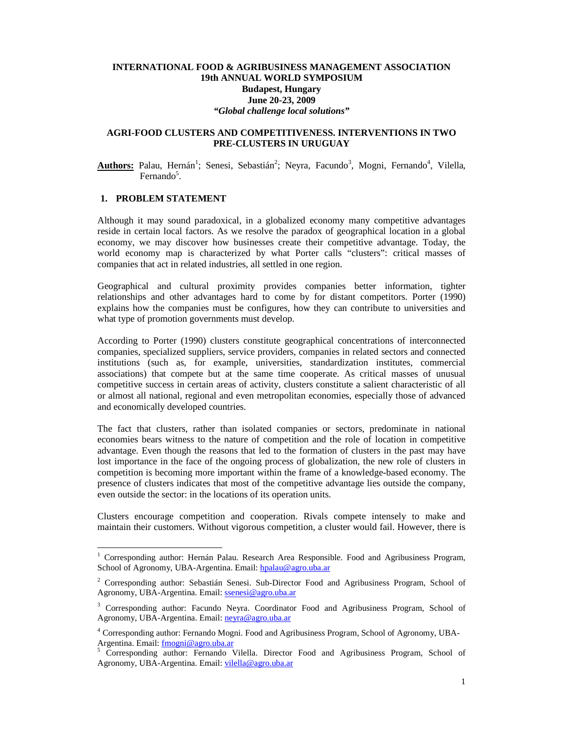### **INTERNATIONAL FOOD & AGRIBUSINESS MANAGEMENT ASSOCIATION 19th ANNUAL WORLD SYMPOSIUM Budapest, Hungary June 20-23, 2009**  *"Global challenge local solutions"*

### **AGRI-FOOD CLUSTERS AND COMPETITIVENESS. INTERVENTIONS IN TWO PRE-CLUSTERS IN URUGUAY**

Authors: Palau, Hernán<sup>1</sup>; Senesi, Sebastián<sup>2</sup>; Neyra, Facundo<sup>3</sup>, Mogni, Fernando<sup>4</sup>, Vilella, Fernando<sup>5</sup>.

## **1. PROBLEM STATEMENT**

 $\overline{a}$ 

Although it may sound paradoxical, in a globalized economy many competitive advantages reside in certain local factors. As we resolve the paradox of geographical location in a global economy, we may discover how businesses create their competitive advantage. Today, the world economy map is characterized by what Porter calls "clusters": critical masses of companies that act in related industries, all settled in one region.

Geographical and cultural proximity provides companies better information, tighter relationships and other advantages hard to come by for distant competitors. Porter (1990) explains how the companies must be configures, how they can contribute to universities and what type of promotion governments must develop.

According to Porter (1990) clusters constitute geographical concentrations of interconnected companies, specialized suppliers, service providers, companies in related sectors and connected institutions (such as, for example, universities, standardization institutes, commercial associations) that compete but at the same time cooperate. As critical masses of unusual competitive success in certain areas of activity, clusters constitute a salient characteristic of all or almost all national, regional and even metropolitan economies, especially those of advanced and economically developed countries.

The fact that clusters, rather than isolated companies or sectors, predominate in national economies bears witness to the nature of competition and the role of location in competitive advantage. Even though the reasons that led to the formation of clusters in the past may have lost importance in the face of the ongoing process of globalization, the new role of clusters in competition is becoming more important within the frame of a knowledge-based economy. The presence of clusters indicates that most of the competitive advantage lies outside the company, even outside the sector: in the locations of its operation units.

Clusters encourage competition and cooperation. Rivals compete intensely to make and maintain their customers. Without vigorous competition, a cluster would fail. However, there is

<sup>&</sup>lt;sup>1</sup> Corresponding author: Hernán Palau. Research Area Responsible. Food and Agribusiness Program, School of Agronomy, UBA-Argentina. Email: hpalau@agro.uba.ar

<sup>&</sup>lt;sup>2</sup> Corresponding author: Sebastián Senesi. Sub-Director Food and Agribusiness Program, School of Agronomy, UBA-Argentina. Email: ssenesi@agro.uba.ar

<sup>&</sup>lt;sup>3</sup> Corresponding author: Facundo Neyra. Coordinator Food and Agribusiness Program, School of Agronomy, UBA-Argentina. Email: neyra@agro.uba.ar

<sup>&</sup>lt;sup>4</sup> Corresponding author: Fernando Mogni. Food and Agribusiness Program, School of Agronomy, UBA-Argentina. Email: fmogni@agro.uba.ar

<sup>5</sup> Corresponding author: Fernando Vilella. Director Food and Agribusiness Program, School of Agronomy, UBA-Argentina. Email: vilella@agro.uba.ar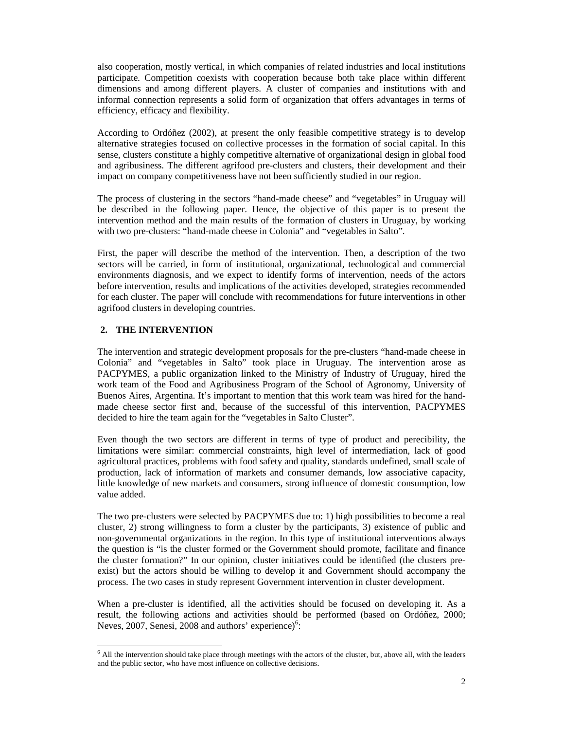also cooperation, mostly vertical, in which companies of related industries and local institutions participate. Competition coexists with cooperation because both take place within different dimensions and among different players. A cluster of companies and institutions with and informal connection represents a solid form of organization that offers advantages in terms of efficiency, efficacy and flexibility.

According to Ordóñez (2002), at present the only feasible competitive strategy is to develop alternative strategies focused on collective processes in the formation of social capital. In this sense, clusters constitute a highly competitive alternative of organizational design in global food and agribusiness. The different agrifood pre-clusters and clusters, their development and their impact on company competitiveness have not been sufficiently studied in our region.

The process of clustering in the sectors "hand-made cheese" and "vegetables" in Uruguay will be described in the following paper. Hence, the objective of this paper is to present the intervention method and the main results of the formation of clusters in Uruguay, by working with two pre-clusters: "hand-made cheese in Colonia" and "vegetables in Salto".

First, the paper will describe the method of the intervention. Then, a description of the two sectors will be carried, in form of institutional, organizational, technological and commercial environments diagnosis, and we expect to identify forms of intervention, needs of the actors before intervention, results and implications of the activities developed, strategies recommended for each cluster. The paper will conclude with recommendations for future interventions in other agrifood clusters in developing countries.

# **2. THE INTERVENTION**

The intervention and strategic development proposals for the pre-clusters "hand-made cheese in Colonia" and "vegetables in Salto" took place in Uruguay. The intervention arose as PACPYMES, a public organization linked to the Ministry of Industry of Uruguay, hired the work team of the Food and Agribusiness Program of the School of Agronomy, University of Buenos Aires, Argentina. It's important to mention that this work team was hired for the handmade cheese sector first and, because of the successful of this intervention, PACPYMES decided to hire the team again for the "vegetables in Salto Cluster".

Even though the two sectors are different in terms of type of product and perecibility, the limitations were similar: commercial constraints, high level of intermediation, lack of good agricultural practices, problems with food safety and quality, standards undefined, small scale of production, lack of information of markets and consumer demands, low associative capacity, little knowledge of new markets and consumers, strong influence of domestic consumption, low value added.

The two pre-clusters were selected by PACPYMES due to: 1) high possibilities to become a real cluster, 2) strong willingness to form a cluster by the participants, 3) existence of public and non-governmental organizations in the region. In this type of institutional interventions always the question is "is the cluster formed or the Government should promote, facilitate and finance the cluster formation?" In our opinion, cluster initiatives could be identified (the clusters preexist) but the actors should be willing to develop it and Government should accompany the process. The two cases in study represent Government intervention in cluster development.

When a pre-cluster is identified, all the activities should be focused on developing it. As a result, the following actions and activities should be performed (based on Ordóñez, 2000; Neves, 2007, Senesi, 2008 and authors' experience)<sup>6</sup>:

 6 All the intervention should take place through meetings with the actors of the cluster, but, above all, with the leaders and the public sector, who have most influence on collective decisions.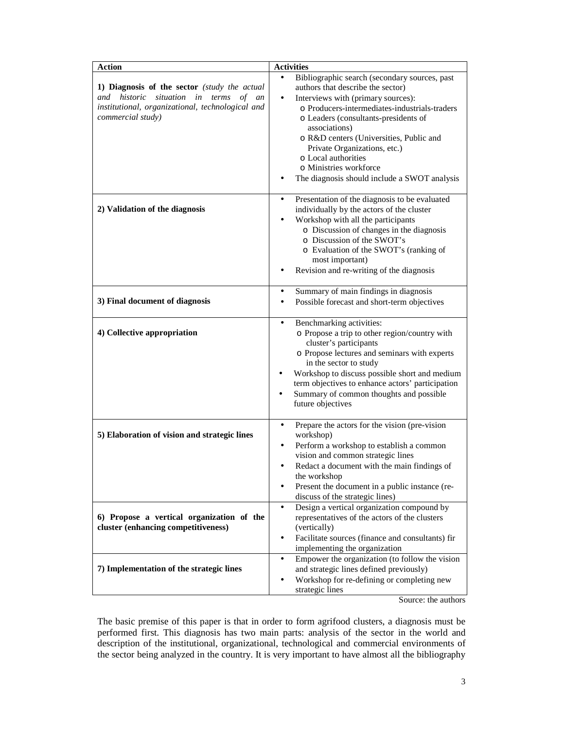| <b>Action</b>                                                                                                                                                                 | <b>Activities</b>                                                                                                                                                                                                                                                                                                                                                                                                           |  |  |  |
|-------------------------------------------------------------------------------------------------------------------------------------------------------------------------------|-----------------------------------------------------------------------------------------------------------------------------------------------------------------------------------------------------------------------------------------------------------------------------------------------------------------------------------------------------------------------------------------------------------------------------|--|--|--|
| 1) Diagnosis of the sector (study the actual<br>historic<br>situation<br>and<br>in<br>terms<br>of an<br>institutional, organizational, technological and<br>commercial study) | Bibliographic search (secondary sources, past<br>authors that describe the sector)<br>Interviews with (primary sources):<br>$\bullet$<br>o Producers-intermediates-industrials-traders<br>o Leaders (consultants-presidents of<br>associations)<br>o R&D centers (Universities, Public and<br>Private Organizations, etc.)<br>o Local authorities<br>o Ministries workforce<br>The diagnosis should include a SWOT analysis |  |  |  |
| 2) Validation of the diagnosis                                                                                                                                                | Presentation of the diagnosis to be evaluated<br>individually by the actors of the cluster<br>Workshop with all the participants<br>o Discussion of changes in the diagnosis<br>o Discussion of the SWOT's<br>o Evaluation of the SWOT's (ranking of<br>most important)<br>Revision and re-writing of the diagnosis                                                                                                         |  |  |  |
| 3) Final document of diagnosis                                                                                                                                                | Summary of main findings in diagnosis<br>$\bullet$<br>Possible forecast and short-term objectives<br>$\bullet$                                                                                                                                                                                                                                                                                                              |  |  |  |
| 4) Collective appropriation                                                                                                                                                   | Benchmarking activities:<br>$\bullet$<br>o Propose a trip to other region/country with<br>cluster's participants<br>o Propose lectures and seminars with experts<br>in the sector to study<br>Workshop to discuss possible short and medium<br>term objectives to enhance actors' participation<br>Summary of common thoughts and possible<br>future objectives                                                             |  |  |  |
| 5) Elaboration of vision and strategic lines                                                                                                                                  | Prepare the actors for the vision (pre-vision<br>$\bullet$<br>workshop)<br>Perform a workshop to establish a common<br>٠<br>vision and common strategic lines<br>Redact a document with the main findings of<br>$\bullet$<br>the workshop<br>Present the document in a public instance (re-<br>discuss of the strategic lines)                                                                                              |  |  |  |
| 6) Propose a vertical organization of the<br>cluster (enhancing competitiveness)                                                                                              | Design a vertical organization compound by<br>$\bullet$<br>representatives of the actors of the clusters<br>(vertically)<br>Facilitate sources (finance and consultants) fir<br>$\bullet$<br>implementing the organization                                                                                                                                                                                                  |  |  |  |
| 7) Implementation of the strategic lines                                                                                                                                      | Empower the organization (to follow the vision<br>$\bullet$<br>and strategic lines defined previously)<br>Workshop for re-defining or completing new<br>strategic lines                                                                                                                                                                                                                                                     |  |  |  |

Source: the authors

The basic premise of this paper is that in order to form agrifood clusters, a diagnosis must be performed first. This diagnosis has two main parts: analysis of the sector in the world and description of the institutional, organizational, technological and commercial environments of the sector being analyzed in the country. It is very important to have almost all the bibliography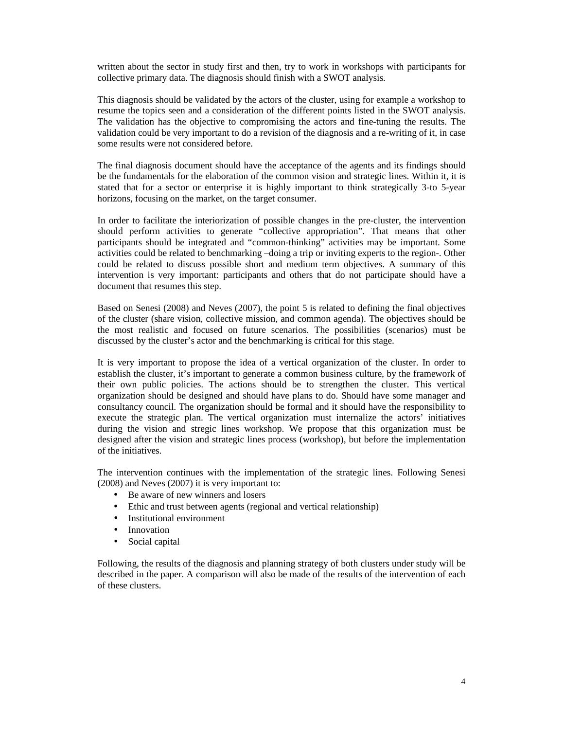written about the sector in study first and then, try to work in workshops with participants for collective primary data. The diagnosis should finish with a SWOT analysis.

This diagnosis should be validated by the actors of the cluster, using for example a workshop to resume the topics seen and a consideration of the different points listed in the SWOT analysis. The validation has the objective to compromising the actors and fine-tuning the results. The validation could be very important to do a revision of the diagnosis and a re-writing of it, in case some results were not considered before.

The final diagnosis document should have the acceptance of the agents and its findings should be the fundamentals for the elaboration of the common vision and strategic lines. Within it, it is stated that for a sector or enterprise it is highly important to think strategically 3-to 5-year horizons, focusing on the market, on the target consumer.

In order to facilitate the interiorization of possible changes in the pre-cluster, the intervention should perform activities to generate "collective appropriation". That means that other participants should be integrated and "common-thinking" activities may be important. Some activities could be related to benchmarking –doing a trip or inviting experts to the region-. Other could be related to discuss possible short and medium term objectives. A summary of this intervention is very important: participants and others that do not participate should have a document that resumes this step.

Based on Senesi (2008) and Neves (2007), the point 5 is related to defining the final objectives of the cluster (share vision, collective mission, and common agenda). The objectives should be the most realistic and focused on future scenarios. The possibilities (scenarios) must be discussed by the cluster's actor and the benchmarking is critical for this stage.

It is very important to propose the idea of a vertical organization of the cluster. In order to establish the cluster, it's important to generate a common business culture, by the framework of their own public policies. The actions should be to strengthen the cluster. This vertical organization should be designed and should have plans to do. Should have some manager and consultancy council. The organization should be formal and it should have the responsibility to execute the strategic plan. The vertical organization must internalize the actors' initiatives during the vision and stregic lines workshop. We propose that this organization must be designed after the vision and strategic lines process (workshop), but before the implementation of the initiatives.

The intervention continues with the implementation of the strategic lines. Following Senesi (2008) and Neves (2007) it is very important to:

- Be aware of new winners and losers
- Ethic and trust between agents (regional and vertical relationship)
- Institutional environment
- Innovation
- Social capital

Following, the results of the diagnosis and planning strategy of both clusters under study will be described in the paper. A comparison will also be made of the results of the intervention of each of these clusters.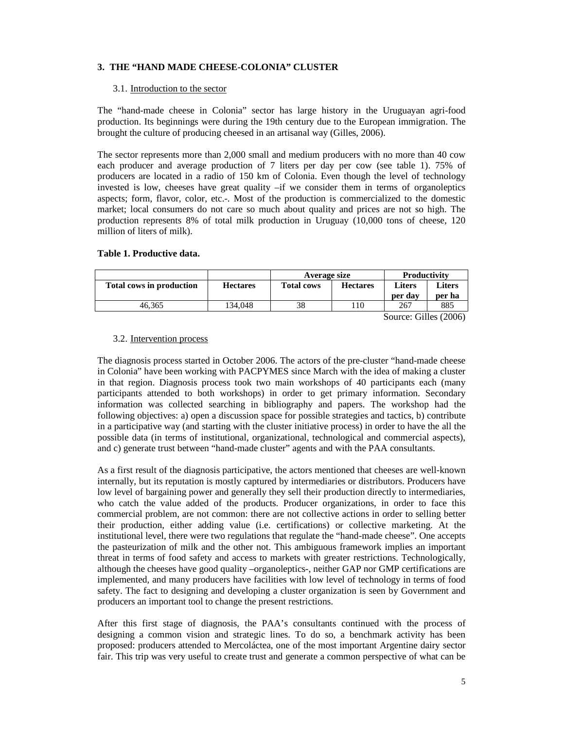# **3. THE "HAND MADE CHEESE-COLONIA" CLUSTER**

#### 3.1. Introduction to the sector

The "hand-made cheese in Colonia" sector has large history in the Uruguayan agri-food production. Its beginnings were during the 19th century due to the European immigration. The brought the culture of producing cheesed in an artisanal way (Gilles, 2006).

The sector represents more than 2,000 small and medium producers with no more than 40 cow each producer and average production of 7 liters per day per cow (see table 1). 75% of producers are located in a radio of 150 km of Colonia. Even though the level of technology invested is low, cheeses have great quality –if we consider them in terms of organoleptics aspects; form, flavor, color, etc.-. Most of the production is commercialized to the domestic market; local consumers do not care so much about quality and prices are not so high. The production represents 8% of total milk production in Uruguay (10,000 tons of cheese, 120 million of liters of milk).

#### **Table 1. Productive data.**

|                                 |                 | Average size      |                 | Productivity                       |         |
|---------------------------------|-----------------|-------------------|-----------------|------------------------------------|---------|
| <b>Total cows in production</b> | <b>Hectares</b> | <b>Total cows</b> | <b>Hectares</b> | <b>Liters</b>                      | Liters  |
|                                 |                 |                   |                 | per day                            | per ha  |
| 46.365                          | 134.048         | 38                | 10              | 267                                | 885     |
|                                 |                 |                   |                 | $\sim \cdot \cdot \cdot$<br>$\sim$ | (0.000) |

Source: Gilles (2006)

#### 3.2. Intervention process

The diagnosis process started in October 2006. The actors of the pre-cluster "hand-made cheese in Colonia" have been working with PACPYMES since March with the idea of making a cluster in that region. Diagnosis process took two main workshops of 40 participants each (many participants attended to both workshops) in order to get primary information. Secondary information was collected searching in bibliography and papers. The workshop had the following objectives: a) open a discussion space for possible strategies and tactics, b) contribute in a participative way (and starting with the cluster initiative process) in order to have the all the possible data (in terms of institutional, organizational, technological and commercial aspects), and c) generate trust between "hand-made cluster" agents and with the PAA consultants.

As a first result of the diagnosis participative, the actors mentioned that cheeses are well-known internally, but its reputation is mostly captured by intermediaries or distributors. Producers have low level of bargaining power and generally they sell their production directly to intermediaries, who catch the value added of the products. Producer organizations, in order to face this commercial problem, are not common: there are not collective actions in order to selling better their production, either adding value (i.e. certifications) or collective marketing. At the institutional level, there were two regulations that regulate the "hand-made cheese". One accepts the pasteurization of milk and the other not. This ambiguous framework implies an important threat in terms of food safety and access to markets with greater restrictions. Technologically, although the cheeses have good quality –organoleptics-, neither GAP nor GMP certifications are implemented, and many producers have facilities with low level of technology in terms of food safety. The fact to designing and developing a cluster organization is seen by Government and producers an important tool to change the present restrictions.

After this first stage of diagnosis, the PAA's consultants continued with the process of designing a common vision and strategic lines. To do so, a benchmark activity has been proposed: producers attended to Mercoláctea, one of the most important Argentine dairy sector fair. This trip was very useful to create trust and generate a common perspective of what can be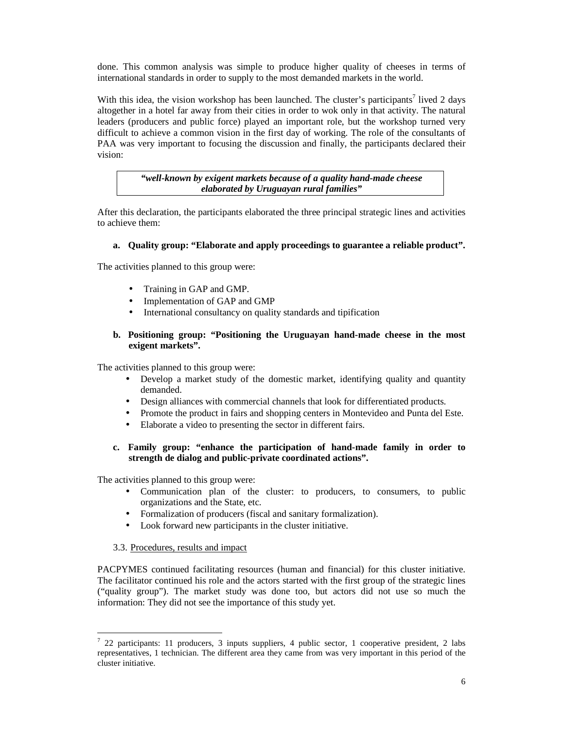done. This common analysis was simple to produce higher quality of cheeses in terms of international standards in order to supply to the most demanded markets in the world.

With this idea, the vision workshop has been launched. The cluster's participants<sup>7</sup> lived 2 days altogether in a hotel far away from their cities in order to wok only in that activity. The natural leaders (producers and public force) played an important role, but the workshop turned very difficult to achieve a common vision in the first day of working. The role of the consultants of PAA was very important to focusing the discussion and finally, the participants declared their vision:

> *"well-known by exigent markets because of a quality hand-made cheese elaborated by Uruguayan rural families"*

After this declaration, the participants elaborated the three principal strategic lines and activities to achieve them:

### **a. Quality group: "Elaborate and apply proceedings to guarantee a reliable product".**

The activities planned to this group were:

- Training in GAP and GMP.
- Implementation of GAP and GMP
- International consultancy on quality standards and tipification

## **b. Positioning group: "Positioning the Uruguayan hand-made cheese in the most exigent markets".**

The activities planned to this group were:

- Develop a market study of the domestic market, identifying quality and quantity demanded.
- Design alliances with commercial channels that look for differentiated products.
- Promote the product in fairs and shopping centers in Montevideo and Punta del Este.
- Elaborate a video to presenting the sector in different fairs.
- **c. Family group: "enhance the participation of hand-made family in order to strength de dialog and public-private coordinated actions".**

The activities planned to this group were:

- Communication plan of the cluster: to producers, to consumers, to public organizations and the State, etc.
- Formalization of producers (fiscal and sanitary formalization).
- Look forward new participants in the cluster initiative.

### 3.3. Procedures, results and impact

PACPYMES continued facilitating resources (human and financial) for this cluster initiative. The facilitator continued his role and the actors started with the first group of the strategic lines ("quality group"). The market study was done too, but actors did not use so much the information: They did not see the importance of this study yet.

 $\overline{a}$ <sup>7</sup> 22 participants: 11 producers, 3 inputs suppliers, 4 public sector, 1 cooperative president, 2 labs representatives, 1 technician. The different area they came from was very important in this period of the cluster initiative.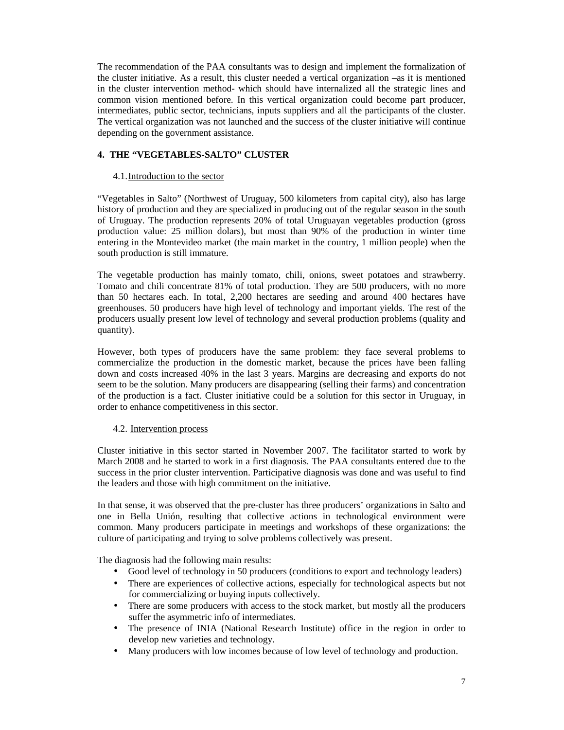The recommendation of the PAA consultants was to design and implement the formalization of the cluster initiative. As a result, this cluster needed a vertical organization –as it is mentioned in the cluster intervention method- which should have internalized all the strategic lines and common vision mentioned before. In this vertical organization could become part producer, intermediates, public sector, technicians, inputs suppliers and all the participants of the cluster. The vertical organization was not launched and the success of the cluster initiative will continue depending on the government assistance.

# **4. THE "VEGETABLES-SALTO" CLUSTER**

#### 4.1.Introduction to the sector

"Vegetables in Salto" (Northwest of Uruguay, 500 kilometers from capital city), also has large history of production and they are specialized in producing out of the regular season in the south of Uruguay. The production represents 20% of total Uruguayan vegetables production (gross production value: 25 million dolars), but most than 90% of the production in winter time entering in the Montevideo market (the main market in the country, 1 million people) when the south production is still immature.

The vegetable production has mainly tomato, chili, onions, sweet potatoes and strawberry. Tomato and chili concentrate 81% of total production. They are 500 producers, with no more than 50 hectares each. In total, 2,200 hectares are seeding and around 400 hectares have greenhouses. 50 producers have high level of technology and important yields. The rest of the producers usually present low level of technology and several production problems (quality and quantity).

However, both types of producers have the same problem: they face several problems to commercialize the production in the domestic market, because the prices have been falling down and costs increased 40% in the last 3 years. Margins are decreasing and exports do not seem to be the solution. Many producers are disappearing (selling their farms) and concentration of the production is a fact. Cluster initiative could be a solution for this sector in Uruguay, in order to enhance competitiveness in this sector.

### 4.2. Intervention process

Cluster initiative in this sector started in November 2007. The facilitator started to work by March 2008 and he started to work in a first diagnosis. The PAA consultants entered due to the success in the prior cluster intervention. Participative diagnosis was done and was useful to find the leaders and those with high commitment on the initiative.

In that sense, it was observed that the pre-cluster has three producers' organizations in Salto and one in Bella Unión, resulting that collective actions in technological environment were common. Many producers participate in meetings and workshops of these organizations: the culture of participating and trying to solve problems collectively was present.

The diagnosis had the following main results:

- Good level of technology in 50 producers (conditions to export and technology leaders)
- There are experiences of collective actions, especially for technological aspects but not for commercializing or buying inputs collectively.
- There are some producers with access to the stock market, but mostly all the producers suffer the asymmetric info of intermediates.
- The presence of INIA (National Research Institute) office in the region in order to develop new varieties and technology.
- Many producers with low incomes because of low level of technology and production.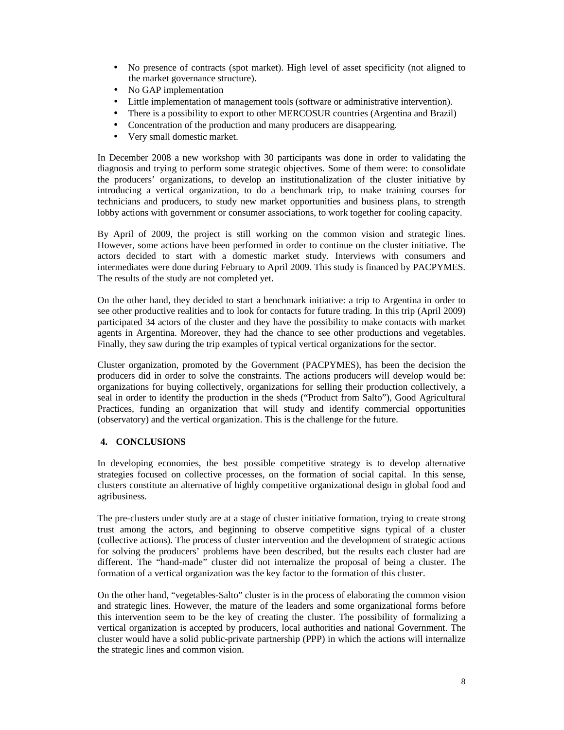- No presence of contracts (spot market). High level of asset specificity (not aligned to the market governance structure).
- No GAP implementation
- Little implementation of management tools (software or administrative intervention).
- There is a possibility to export to other MERCOSUR countries (Argentina and Brazil)
- Concentration of the production and many producers are disappearing.
- Very small domestic market.

In December 2008 a new workshop with 30 participants was done in order to validating the diagnosis and trying to perform some strategic objectives. Some of them were: to consolidate the producers' organizations, to develop an institutionalization of the cluster initiative by introducing a vertical organization, to do a benchmark trip, to make training courses for technicians and producers, to study new market opportunities and business plans, to strength lobby actions with government or consumer associations, to work together for cooling capacity.

By April of 2009, the project is still working on the common vision and strategic lines. However, some actions have been performed in order to continue on the cluster initiative. The actors decided to start with a domestic market study. Interviews with consumers and intermediates were done during February to April 2009. This study is financed by PACPYMES. The results of the study are not completed yet.

On the other hand, they decided to start a benchmark initiative: a trip to Argentina in order to see other productive realities and to look for contacts for future trading. In this trip (April 2009) participated 34 actors of the cluster and they have the possibility to make contacts with market agents in Argentina. Moreover, they had the chance to see other productions and vegetables. Finally, they saw during the trip examples of typical vertical organizations for the sector.

Cluster organization, promoted by the Government (PACPYMES), has been the decision the producers did in order to solve the constraints. The actions producers will develop would be: organizations for buying collectively, organizations for selling their production collectively, a seal in order to identify the production in the sheds ("Product from Salto"), Good Agricultural Practices, funding an organization that will study and identify commercial opportunities (observatory) and the vertical organization. This is the challenge for the future.

# **4. CONCLUSIONS**

In developing economies, the best possible competitive strategy is to develop alternative strategies focused on collective processes, on the formation of social capital. In this sense, clusters constitute an alternative of highly competitive organizational design in global food and agribusiness.

The pre-clusters under study are at a stage of cluster initiative formation, trying to create strong trust among the actors, and beginning to observe competitive signs typical of a cluster (collective actions). The process of cluster intervention and the development of strategic actions for solving the producers' problems have been described, but the results each cluster had are different. The "hand-made" cluster did not internalize the proposal of being a cluster. The formation of a vertical organization was the key factor to the formation of this cluster.

On the other hand, "vegetables-Salto" cluster is in the process of elaborating the common vision and strategic lines. However, the mature of the leaders and some organizational forms before this intervention seem to be the key of creating the cluster. The possibility of formalizing a vertical organization is accepted by producers, local authorities and national Government. The cluster would have a solid public-private partnership (PPP) in which the actions will internalize the strategic lines and common vision.